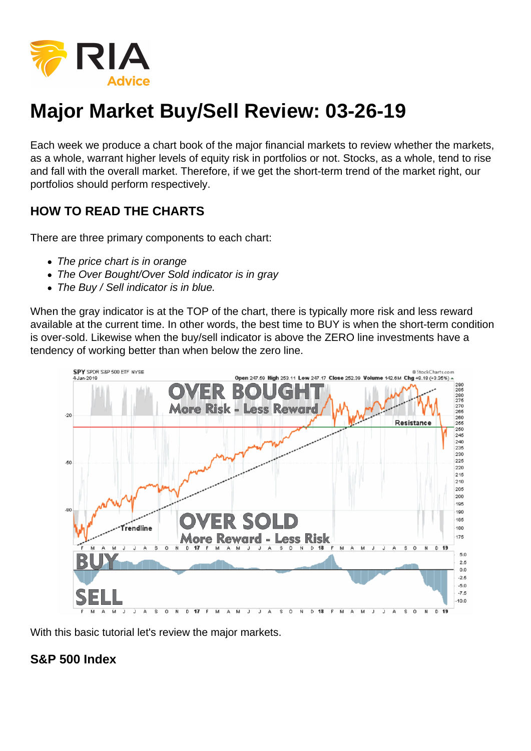

## **Major Market Buy/Sell Review: 03-26-19**

Each week we produce a chart book of the major financial markets to review whether the markets, as a whole, warrant higher levels of equity risk in portfolios or not. Stocks, as a whole, tend to rise and fall with the overall market. Therefore, if we get the short-term trend of the market right, our portfolios should perform respectively.

## **HOW TO READ THE CHARTS**

There are three primary components to each chart:

- The price chart is in orange
- The Over Bought/Over Sold indicator is in gray
- The Buy / Sell indicator is in blue.

When the gray indicator is at the TOP of the chart, there is typically more risk and less reward available at the current time. In other words, the best time to BUY is when the short-term condition is over-sold. Likewise when the buy/sell indicator is above the ZERO line investments have a tendency of working better than when below the zero line.



With this basic tutorial let's review the major markets.

## **S&P 500 Index**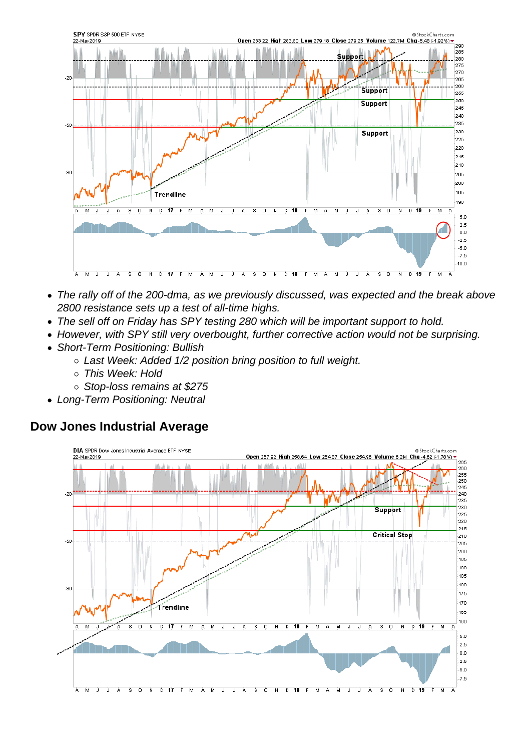- The rally off of the 200-dma, as we previously discussed, was expected and the break above 2800 resistance sets up a test of all-time highs.
- The sell off on Friday has SPY testing 280 which will be important support to hold.
- However, with SPY still very overbought, further corrective action would not be surprising.
- Short-Term Positioning: Bullish
	- Last Week: Added 1/2 position bring position to full weight.
	- This Week: Hold
	- Stop-loss remains at \$275
- Long-Term Positioning: Neutral

Dow Jones Industrial Average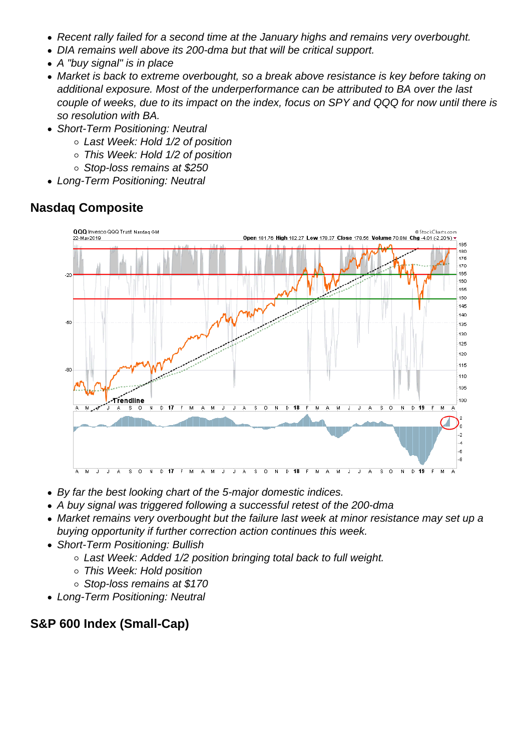- Recent rally failed for a second time at the January highs and remains very overbought.
- DIA remains well above its 200-dma but that will be critical support.
- A "buy signal" is in place
- Market is back to extreme overbought, so a break above resistance is key before taking on additional exposure. Most of the underperformance can be attributed to BA over the last couple of weeks, due to its impact on the index, focus on SPY and QQQ for now until there is so resolution with BA.
- Short-Term Positioning: Neutral
	- Last Week: Hold 1/2 of position
	- This Week: Hold 1/2 of position
	- Stop-loss remains at \$250
- Long-Term Positioning: Neutral

Nasdaq Composite

- By far the best looking chart of the 5-major domestic indices.
- A buy signal was triggered following a successful retest of the 200-dma
- Market remains very overbought but the failure last week at minor resistance may set up a buying opportunity if further correction action continues this week.
- Short-Term Positioning: Bullish
	- Last Week: Added 1/2 position bringing total back to full weight.
	- This Week: Hold position
	- o Stop-loss remains at \$170
- Long-Term Positioning: Neutral

S&P 600 Index (Small-Cap)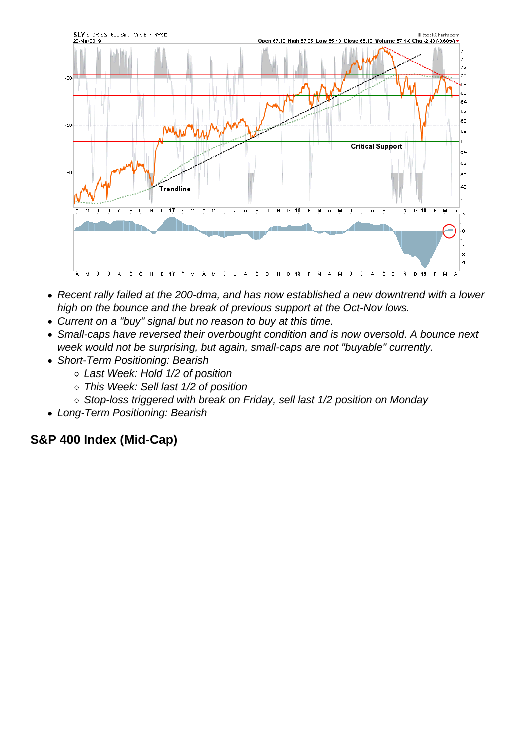- Recent rally failed at the 200-dma, and has now established a new downtrend with a lower high on the bounce and the break of previous support at the Oct-Nov lows.
- Current on a "buy" signal but no reason to buy at this time.
- Small-caps have reversed their overbought condition and is now oversold. A bounce next week would not be surprising, but again, small-caps are not "buyable" currently.
- Short-Term Positioning: Bearish
	- Last Week: Hold 1/2 of position
	- o This Week: Sell last 1/2 of position
	- o Stop-loss triggered with break on Friday, sell last 1/2 position on Monday
- Long-Term Positioning: Bearish

S&P 400 Index (Mid-Cap)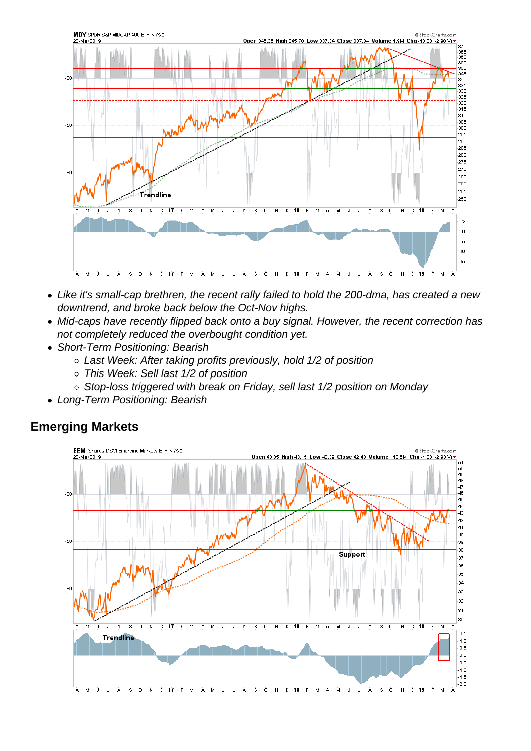- Like it's small-cap brethren, the recent rally failed to hold the 200-dma, has created a new downtrend, and broke back below the Oct-Nov highs.
- Mid-caps have recently flipped back onto a buy signal. However, the recent correction has not completely reduced the overbought condition yet.
- Short-Term Positioning: Bearish
	- Last Week: After taking profits previously, hold 1/2 of position
	- o This Week: Sell last 1/2 of position
	- o Stop-loss triggered with break on Friday, sell last 1/2 position on Monday
- Long-Term Positioning: Bearish

Emerging Markets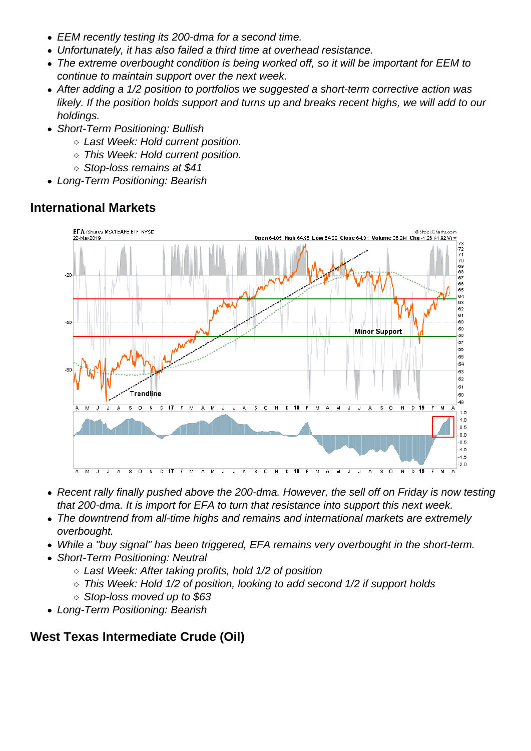- EEM recently testing its 200-dma for a second time.
- Unfortunately, it has also failed a third time at overhead resistance.
- The extreme overbought condition is being worked off, so it will be important for EEM to continue to maintain support over the next week.
- After adding a 1/2 position to portfolios we suggested a short-term corrective action was likely. If the position holds support and turns up and breaks recent highs, we will add to our holdings.
- Short-Term Positioning: Bullish
	- Last Week: Hold current position.
	- This Week: Hold current position.
	- Stop-loss remains at \$41
- Long-Term Positioning: Bearish

International Markets

- Recent rally finally pushed above the 200-dma. However, the sell off on Friday is now testing that 200-dma. It is import for EFA to turn that resistance into support this next week.
- The downtrend from all-time highs and remains and international markets are extremely overbought.
- While a "buy signal" has been triggered, EFA remains very overbought in the short-term.
- Short-Term Positioning: Neutral
	- Last Week: After taking profits, hold 1/2 of position
	- This Week: Hold 1/2 of position, looking to add second 1/2 if support holds
	- Stop-loss moved up to \$63
- Long-Term Positioning: Bearish

West Texas Intermediate Crude (Oil)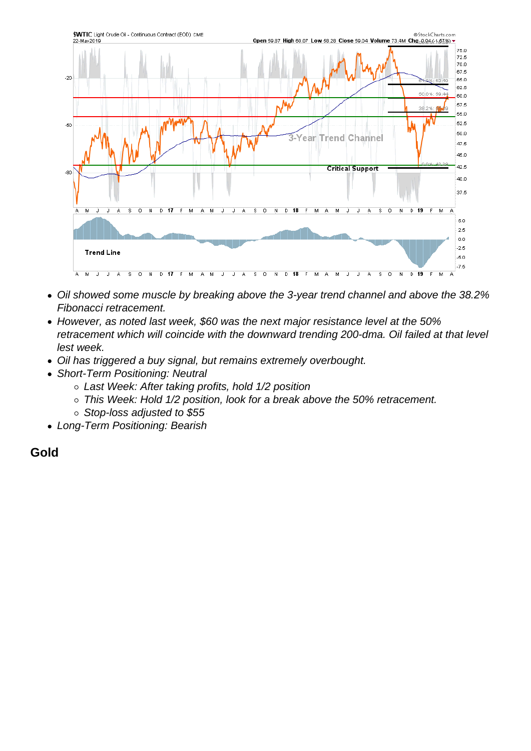- Oil showed some muscle by breaking above the 3-year trend channel and above the 38.2% Fibonacci retracement.
- However, as noted last week, \$60 was the next major resistance level at the 50% retracement which will coincide with the downward trending 200-dma. Oil failed at that level lest week.
- Oil has triggered a buy signal, but remains extremely overbought.
- Short-Term Positioning: Neutral
	- Last Week: After taking profits, hold 1/2 position
	- o This Week: Hold 1/2 position, look for a break above the 50% retracement.
	- $\circ$  Stop-loss adjusted to \$55
- Long-Term Positioning: Bearish

Gold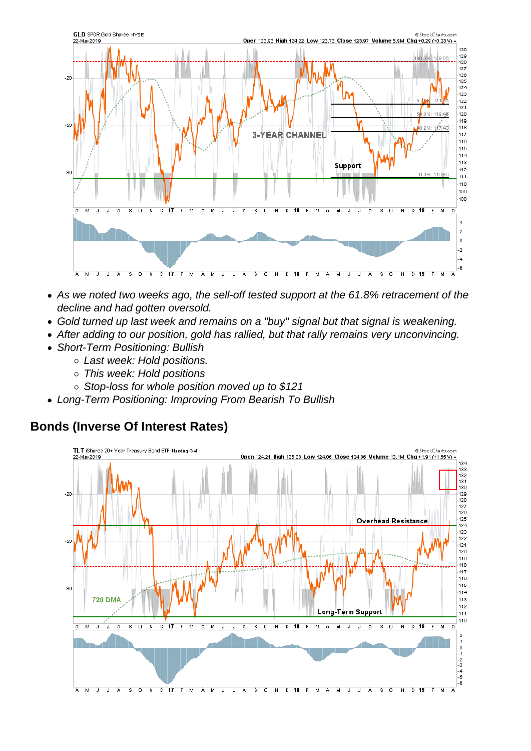- As we noted two weeks ago, the sell-off tested support at the 61.8% retracement of the decline and had gotten oversold.
- Gold turned up last week and remains on a "buy" signal but that signal is weakening.
- After adding to our position, gold has rallied, but that rally remains very unconvincing.
- Short-Term Positioning: Bullish
	- Last week: Hold positions.
	- This week: Hold positions
	- Stop-loss for whole position moved up to \$121
- Long-Term Positioning: Improving From Bearish To Bullish

## Bonds (Inverse Of Interest Rates)